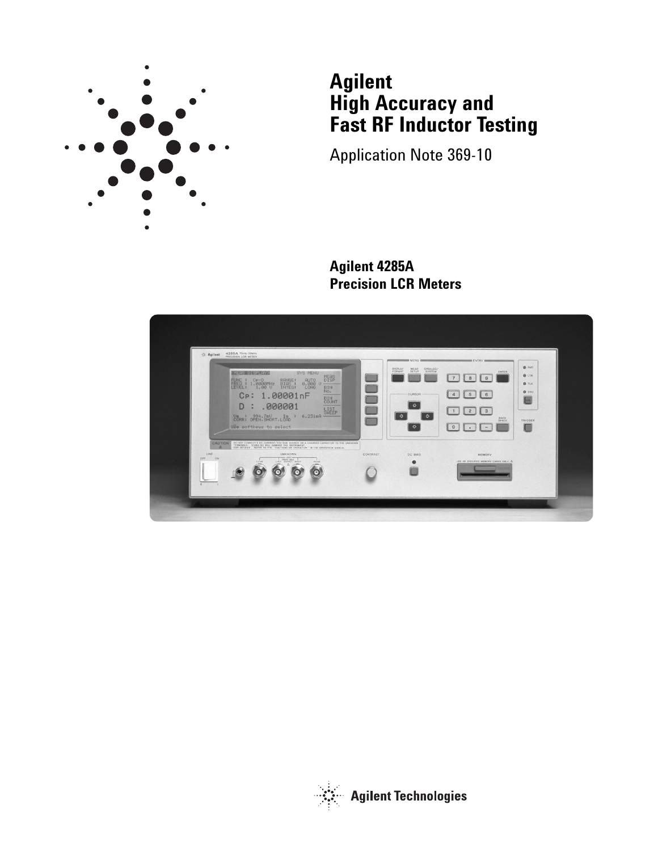

# **Agilent High Accuracy and Fast RF Inductor Testing**

Application Note 369-10

**Agilent 4285A Precision LCR Meters**



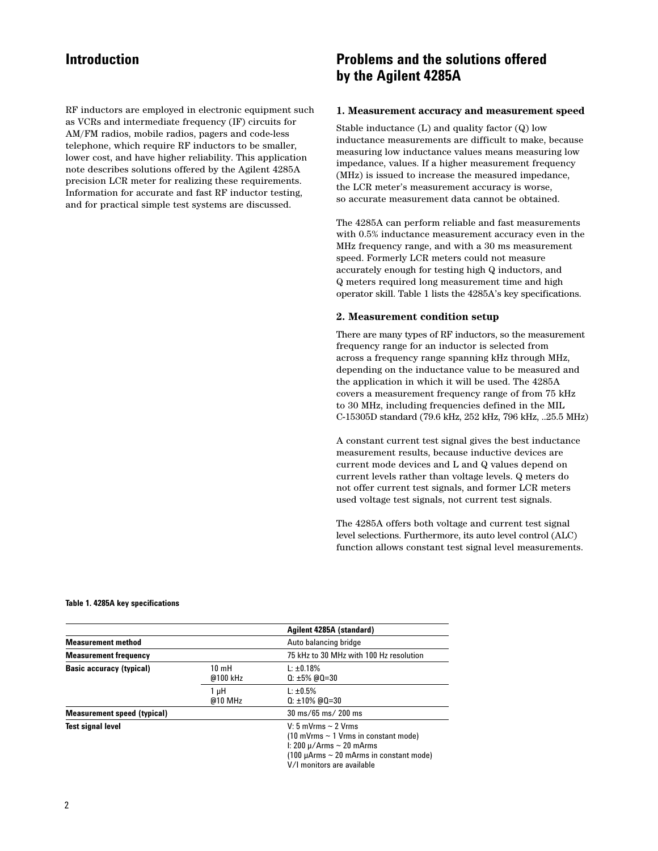RF inductors are employed in electronic equipment such as VCRs and intermediate frequency (IF) circuits for AM/FM radios, mobile radios, pagers and code-less telephone, which require RF inductors to be smaller, lower cost, and have higher reliability. This application note describes solutions offered by the Agilent 4285A precision LCR meter for realizing these requirements. Information for accurate and fast RF inductor testing, and for practical simple test systems are discussed.

# **Introduction Problems and the solutions offered by the Agilent 4285A**

#### **1. Measurement accuracy and measurement speed**

Stable inductance (L) and quality factor (Q) low inductance measurements are difficult to make, because measuring low inductance values means measuring low impedance, values. If a higher measurement frequency (MHz) is issued to increase the measured impedance, the LCR meter's measurement accuracy is worse, so accurate measurement data cannot be obtained.

The 4285A can perform reliable and fast measurements with 0.5% inductance measurement accuracy even in the MHz frequency range, and with a 30 ms measurement speed. Formerly LCR meters could not measure accurately enough for testing high Q inductors, and Q meters required long measurement time and high operator skill. Table 1 lists the 4285A's key specifications.

#### **2. Measurement condition setup**

There are many types of RF inductors, so the measurement frequency range for an inductor is selected from across a frequency range spanning kHz through MHz, depending on the inductance value to be measured and the application in which it will be used. The 4285A covers a measurement frequency range of from 75 kHz to 30 MHz, including frequencies defined in the MIL C-15305D standard (79.6 kHz, 252 kHz, 796 kHz, ..25.5 MHz)

A constant current test signal gives the best inductance measurement results, because inductive devices are current mode devices and L and Q values depend on current levels rather than voltage levels. Q meters do not offer current test signals, and former LCR meters used voltage test signals, not current test signals.

The 4285A offers both voltage and current test signal level selections. Furthermore, its auto level control (ALC) function allows constant test signal level measurements.

|  |  |  | Table 1. 4285A key specifications |
|--|--|--|-----------------------------------|
|--|--|--|-----------------------------------|

|                                    |                             | Agilent 4285A (standard)                                                                                                                                                                                                                                                                                                                                                                                                                                                                                                                                                                                                        |
|------------------------------------|-----------------------------|---------------------------------------------------------------------------------------------------------------------------------------------------------------------------------------------------------------------------------------------------------------------------------------------------------------------------------------------------------------------------------------------------------------------------------------------------------------------------------------------------------------------------------------------------------------------------------------------------------------------------------|
| <b>Measurement method</b>          |                             | Auto balancing bridge                                                                                                                                                                                                                                                                                                                                                                                                                                                                                                                                                                                                           |
| <b>Measurement frequency</b>       |                             | 75 kHz to 30 MHz with 100 Hz resolution                                                                                                                                                                                                                                                                                                                                                                                                                                                                                                                                                                                         |
| <b>Basic accuracy (typical)</b>    | $10 \text{ mH}$<br>@100 kHz | $L: \pm 0.18\%$<br>$0: \pm 5\%$ @0=30                                                                                                                                                                                                                                                                                                                                                                                                                                                                                                                                                                                           |
|                                    | 1 µH<br>$@10$ MHz           | $L: \pm 0.5\%$<br>$0: \pm 10\%$ @0=30                                                                                                                                                                                                                                                                                                                                                                                                                                                                                                                                                                                           |
| <b>Measurement speed (typical)</b> |                             | $30 \text{ ms} / 65 \text{ ms} / 200 \text{ ms}$                                                                                                                                                                                                                                                                                                                                                                                                                                                                                                                                                                                |
| <b>Test signal level</b>           |                             | V: 5 mVrms $\sim$ 2 Vrms<br>$(10 \text{ mV} \cdot \text{mS} \sim 1 \text{ V} \cdot \text{m} \cdot \text{m} \cdot \text{m} \cdot \text{m} \cdot \text{m} \cdot \text{m} \cdot \text{m} \cdot \text{m} \cdot \text{m} \cdot \text{m} \cdot \text{m} \cdot \text{m} \cdot \text{m} \cdot \text{m} \cdot \text{m} \cdot \text{m} \cdot \text{m} \cdot \text{m} \cdot \text{m} \cdot \text{m} \cdot \text{m} \cdot \text{m} \cdot \text{m} \cdot \text{m} \cdot \text{m} \cdot \text{m} \cdot \text{m} \cdot \text{$<br>I: 200 $\mu$ /Arms ~ 20 mArms<br>$(100 \mu A$ rms ~ 20 mArms in constant mode)<br>V/I monitors are available |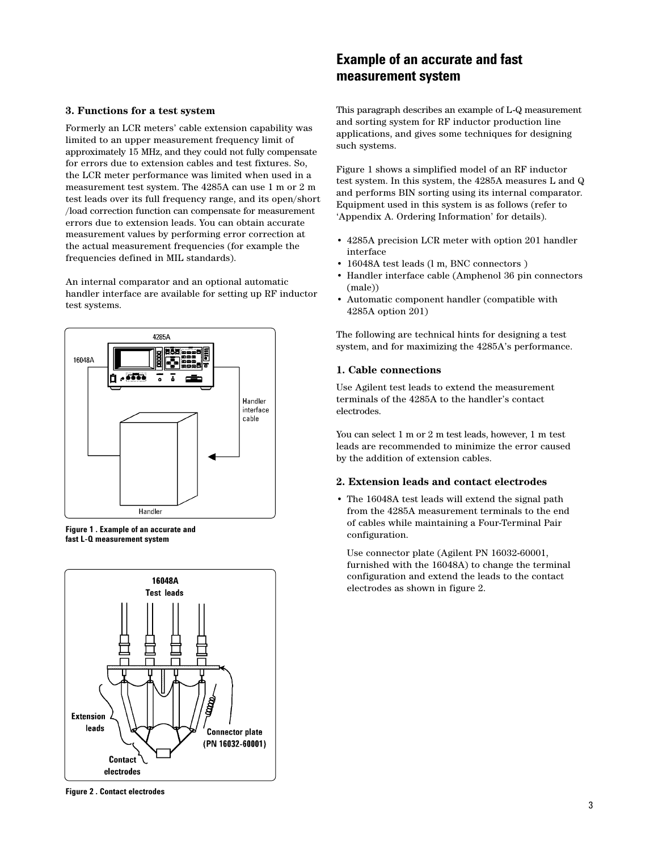#### **3. Functions for a test system**

Formerly an LCR meters' cable extension capability was limited to an upper measurement frequency limit of approximately 15 MHz, and they could not fully compensate for errors due to extension cables and test fixtures. So, the LCR meter performance was limited when used in a measurement test system. The 4285A can use 1 m or 2 m test leads over its full frequency range, and its open/short /load correction function can compensate for measurement errors due to extension leads. You can obtain accurate measurement values by performing error correction at the actual measurement frequencies (for example the frequencies defined in MIL standards).

An internal comparator and an optional automatic handler interface are available for setting up RF inductor test systems.



**Figure 1 . Example of an accurate and fast L-Q measurement system**



**Example of an accurate and fast measurement system** 

This paragraph describes an example of L-Q measurement and sorting system for RF inductor production line applications, and gives some techniques for designing such systems.

Figure 1 shows a simplified model of an RF inductor test system. In this system, the 4285A measures L and Q and performs BIN sorting using its internal comparator. Equipment used in this system is as follows (refer to 'Appendix A. Ordering Information' for details).

- 4285A precision LCR meter with option 201 handler interface
- 16048A test leads (l m, BNC connectors )
- Handler interface cable (Amphenol 36 pin connectors (male))
- Automatic component handler (compatible with 4285A option 201)

The following are technical hints for designing a test system, and for maximizing the 4285A's performance.

#### **1. Cable connections**

Use Agilent test leads to extend the measurement terminals of the 4285A to the handler's contact electrodes.

You can select 1 m or 2 m test leads, however, 1 m test leads are recommended to minimize the error caused by the addition of extension cables.

#### **2. Extension leads and contact electrodes**

• The 16048A test leads will extend the signal path from the 4285A measurement terminals to the end of cables while maintaining a Four-Terminal Pair configuration.

Use connector plate (Agilent PN 16032-60001, furnished with the 16048A) to change the terminal configuration and extend the leads to the contact electrodes as shown in figure 2.

**Figure 2 . Contact electrodes**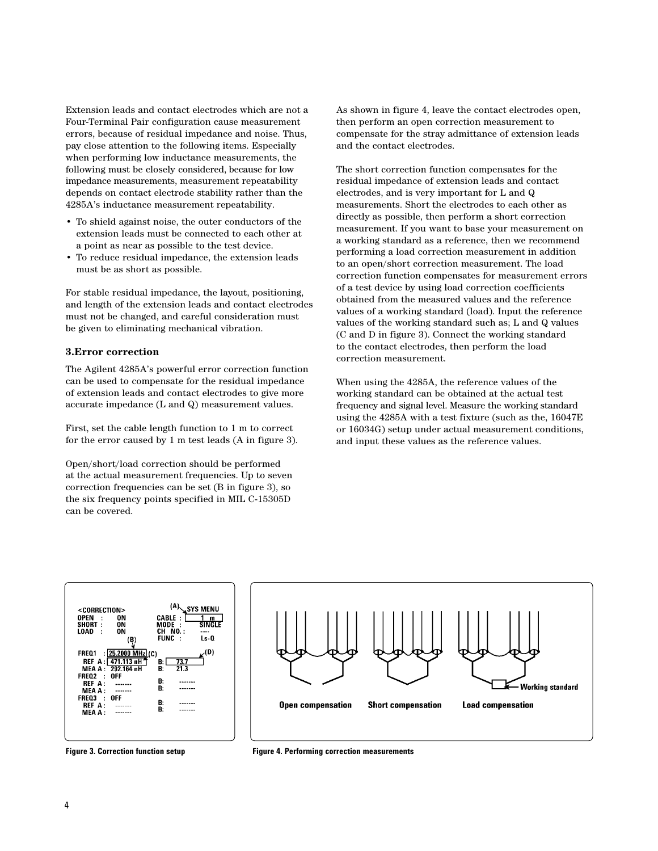Extension leads and contact electrodes which are not a Four-Terminal Pair configuration cause measurement errors, because of residual impedance and noise. Thus, pay close attention to the following items. Especially when performing low inductance measurements, the following must be closely considered, because for low impedance measurements, measurement repeatability depends on contact electrode stability rather than the 4285A's inductance measurement repeatability.

- To shield against noise, the outer conductors of the extension leads must be connected to each other at a point as near as possible to the test device.
- To reduce residual impedance, the extension leads must be as short as possible.

For stable residual impedance, the layout, positioning, and length of the extension leads and contact electrodes must not be changed, and careful consideration must be given to eliminating mechanical vibration.

#### **3.Error correction**

The Agilent 4285A's powerful error correction function can be used to compensate for the residual impedance of extension leads and contact electrodes to give more accurate impedance (L and Q) measurement values.

First, set the cable length function to 1 m to correct for the error caused by 1 m test leads (A in figure 3).

Open/short/load correction should be performed at the actual measurement frequencies. Up to seven correction frequencies can be set (B in figure 3), so the six frequency points specified in MIL C-15305D can be covered.

As shown in figure 4, leave the contact electrodes open, then perform an open correction measurement to compensate for the stray admittance of extension leads and the contact electrodes.

The short correction function compensates for the residual impedance of extension leads and contact electrodes, and is very important for L and Q measurements. Short the electrodes to each other as directly as possible, then perform a short correction measurement. If you want to base your measurement on a working standard as a reference, then we recommend performing a load correction measurement in addition to an open/short correction measurement. The load correction function compensates for measurement errors of a test device by using load correction coefficients obtained from the measured values and the reference values of a working standard (load). Input the reference values of the working standard such as; L and Q values (C and D in figure 3). Connect the working standard to the contact electrodes, then perform the load correction measurement.

When using the 4285A, the reference values of the working standard can be obtained at the actual test frequency and signal level. Measure the working standard using the 4285A with a test fixture (such as the, 16047E or 16034G) setup under actual measurement conditions, and input these values as the reference values.





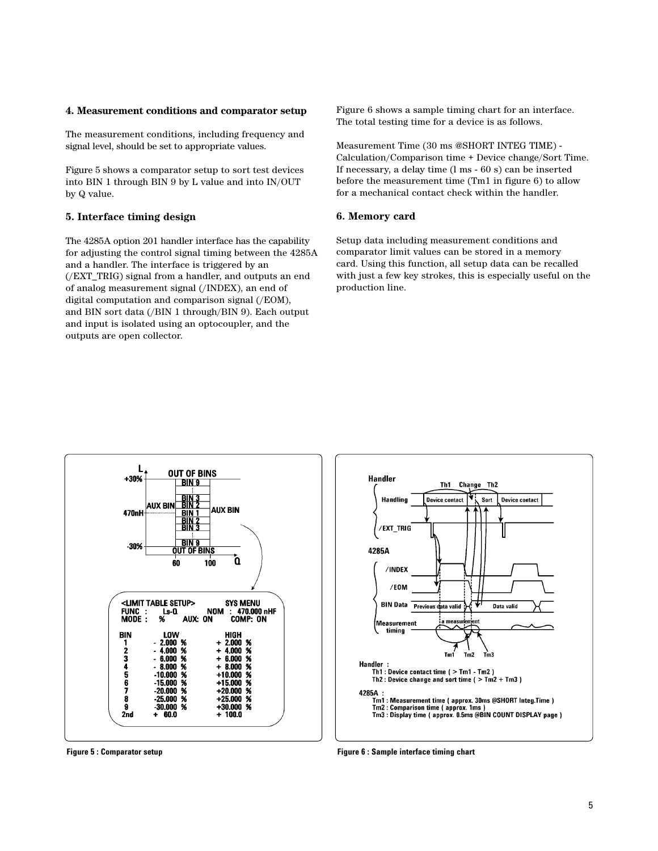#### **4. Measurement conditions and comparator setup**

The measurement conditions, including frequency and signal level, should be set to appropriate values.

Figure 5 shows a comparator setup to sort test devices into BIN 1 through BIN 9 by L value and into IN/OUT by Q value.

#### **5. Interface timing design**

The 4285A option 201 handler interface has the capability for adjusting the control signal timing between the 4285A and a handler. The interface is triggered by an (/EXT\_TRIG) signal from a handler, and outputs an end of analog measurement signal (/INDEX), an end of digital computation and comparison signal (/EOM), and BIN sort data (/BIN 1 through/BIN 9). Each output and input is isolated using an optocoupler, and the outputs are open collector.

Figure 6 shows a sample timing chart for an interface. The total testing time for a device is as follows.

Measurement Time (30 ms @SHORT INTEG TIME) - Calculation/Comparison time + Device change/Sort Time. If necessary, a delay time (l ms - 60 s) can be inserted before the measurement time (Tm1 in figure 6) to allow for a mechanical contact check within the handler.

#### **6. Memory card**

Setup data including measurement conditions and comparator limit values can be stored in a memory card. Using this function, all setup data can be recalled with just a few key strokes, this is especially useful on the production line.





**Figure 5 : Comparator setup Figure 6 : Sample interface timing chart**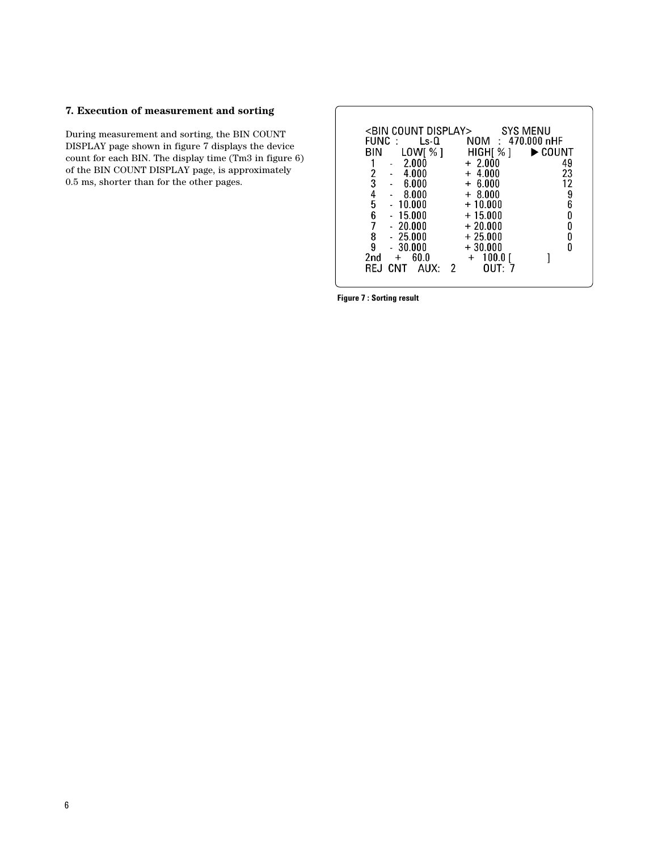### **7. Execution of measurement and sorting**

During measurement and sorting, the BIN COUNT DISPLAY page shown in figure 7 displays the device count for each BIN. The display time (Tm3 in figure 6) of the BIN COUNT DISPLAY page, is approximately 0.5 ms, shorter than for the other pages.

| <bin count="" display=""><br/>FUNC<br/>Ls-0</bin>           | SYS MENU<br>NOM : 470.000 nHF            |  |
|-------------------------------------------------------------|------------------------------------------|--|
| LOW[ % ]<br>BIN                                             | HIGH[ % ]<br>$\blacktriangleright$ COUNT |  |
| 2.000                                                       | $+2.000$<br>49                           |  |
| 4.000<br>3<br>6.000                                         | 23<br>$+4.000$<br>12<br>$+ 6.000$        |  |
| 4<br>-8.000                                                 | $+8.000$                                 |  |
| 5<br>10.000                                                 | 9<br>6<br>$+10.000$                      |  |
| 6<br>$-15.000$<br>- 20.000                                  | 0<br>$+15.000$<br>0<br>$+20.000$         |  |
| $-25.000$<br>8                                              | $+25.000$<br>0                           |  |
| 9<br>- 30.000                                               | n<br>$+30.000$                           |  |
| 60.0<br>2 <sub>nd</sub><br>$+$<br>CNT<br>AUX∙<br>RF.I<br>-2 | 100.0<br>$\ddot{}$<br>∩UT∙               |  |
|                                                             |                                          |  |

**Figure 7 : Sorting result**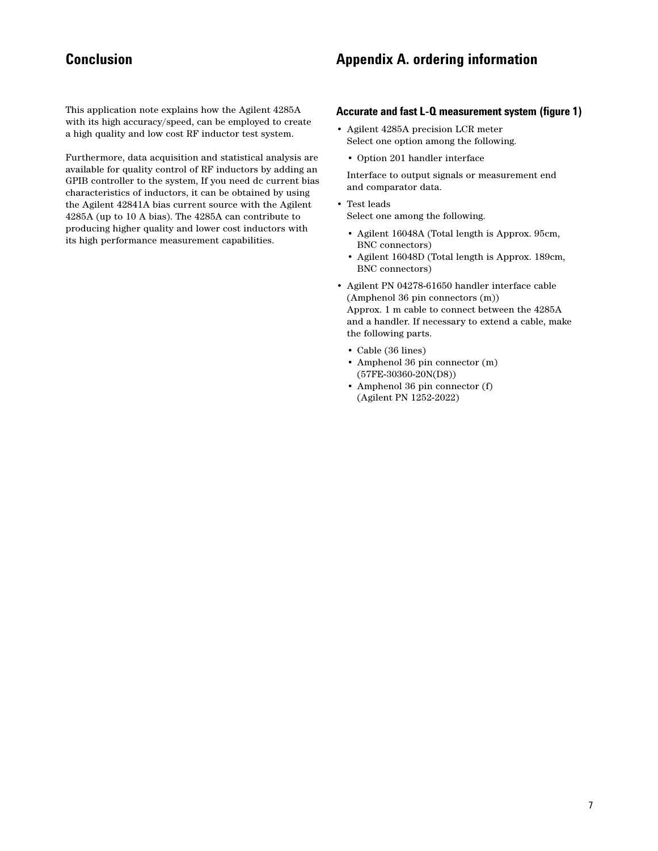This application note explains how the Agilent 4285A with its high accuracy/speed, can be employed to create a high quality and low cost RF inductor test system.

Furthermore, data acquisition and statistical analysis are available for quality control of RF inductors by adding an GPIB controller to the system, If you need dc current bias characteristics of inductors, it can be obtained by using the Agilent 42841A bias current source with the Agilent 4285A (up to 10 A bias). The 4285A can contribute to producing higher quality and lower cost inductors with its high performance measurement capabilities.

# **Conclusion Conclusion Conclusion Appendix A. ordering information**

#### **Accurate and fast L-Q measurement system (figure 1)**

- Agilent 4285A precision LCR meter Select one option among the following.
	- Option 201 handler interface

Interface to output signals or measurement end and comparator data.

- Test leads Select one among the following.
	- Agilent 16048A (Total length is Approx. 95cm, BNC connectors)
	- Agilent 16048D (Total length is Approx. 189cm, BNC connectors)
- Agilent PN 04278-61650 handler interface cable (Amphenol 36 pin connectors (m)) Approx. 1 m cable to connect between the 4285A and a handler. If necessary to extend a cable, make the following parts.
	- Cable (36 lines)
	- Amphenol 36 pin connector (m) (57FE-30360-20N(D8))
	- Amphenol 36 pin connector (f) (Agilent PN 1252-2022)